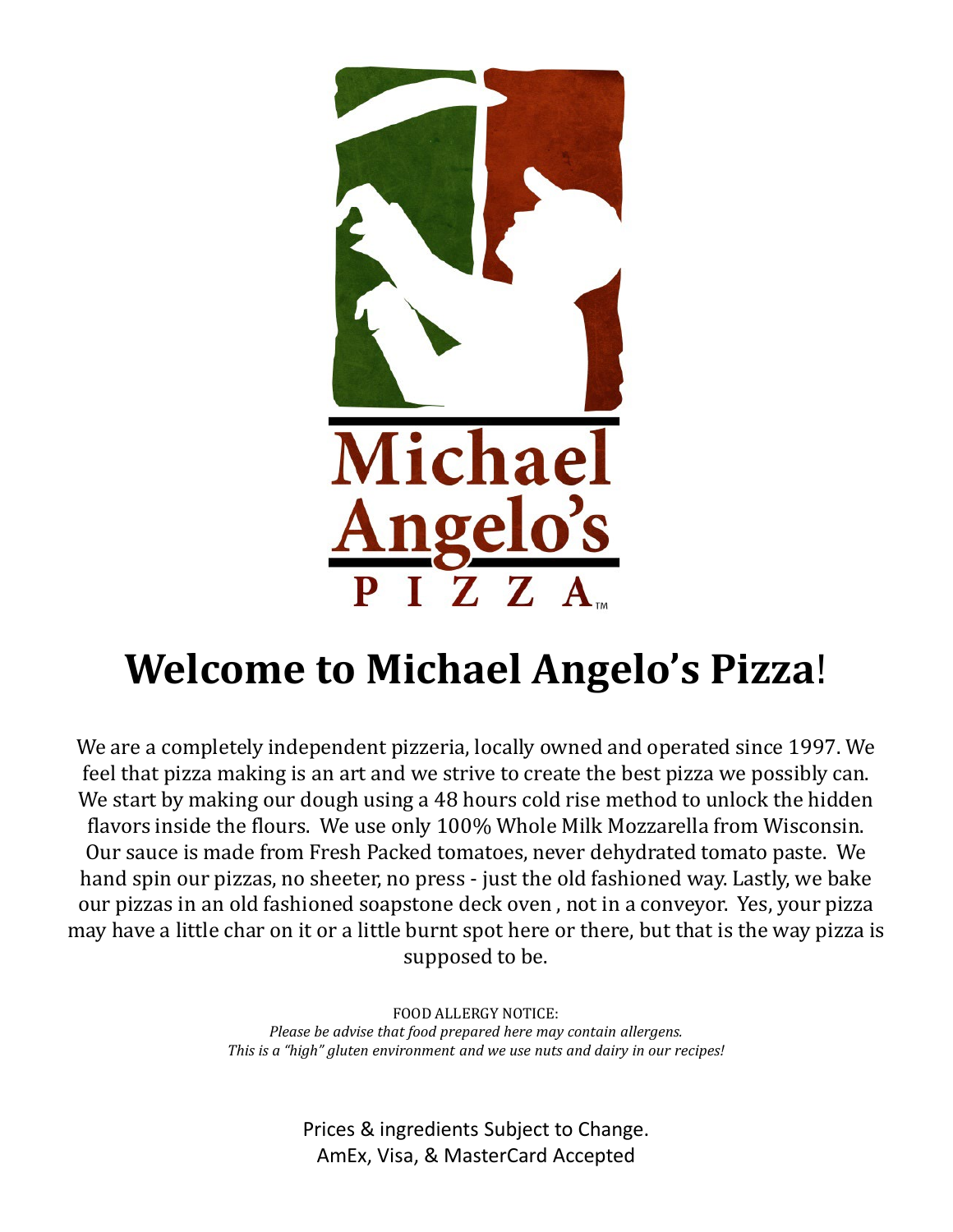

# **Welcome to Michael Angelo's Pizza**!

We are a completely independent pizzeria, locally owned and operated since 1997. We feel that pizza making is an art and we strive to create the best pizza we possibly can. We start by making our dough using a 48 hours cold rise method to unlock the hidden flavors inside the flours. We use only 100% Whole Milk Mozzarella from Wisconsin. Our sauce is made from Fresh Packed tomatoes, never dehydrated tomato paste. We hand spin our pizzas, no sheeter, no press - just the old fashioned way. Lastly, we bake our pizzas in an old fashioned soapstone deck oven , not in a conveyor. Yes, your pizza may have a little char on it or a little burnt spot here or there, but that is the way pizza is supposed to be.

> FOOD ALLERGY NOTICE: *Please be advise that food prepared here may contain allergens. This is a "high" gluten environment and we use nuts and dairy in our recipes!*

> > Prices & ingredients Subject to Change. AmEx, Visa, & MasterCard Accepted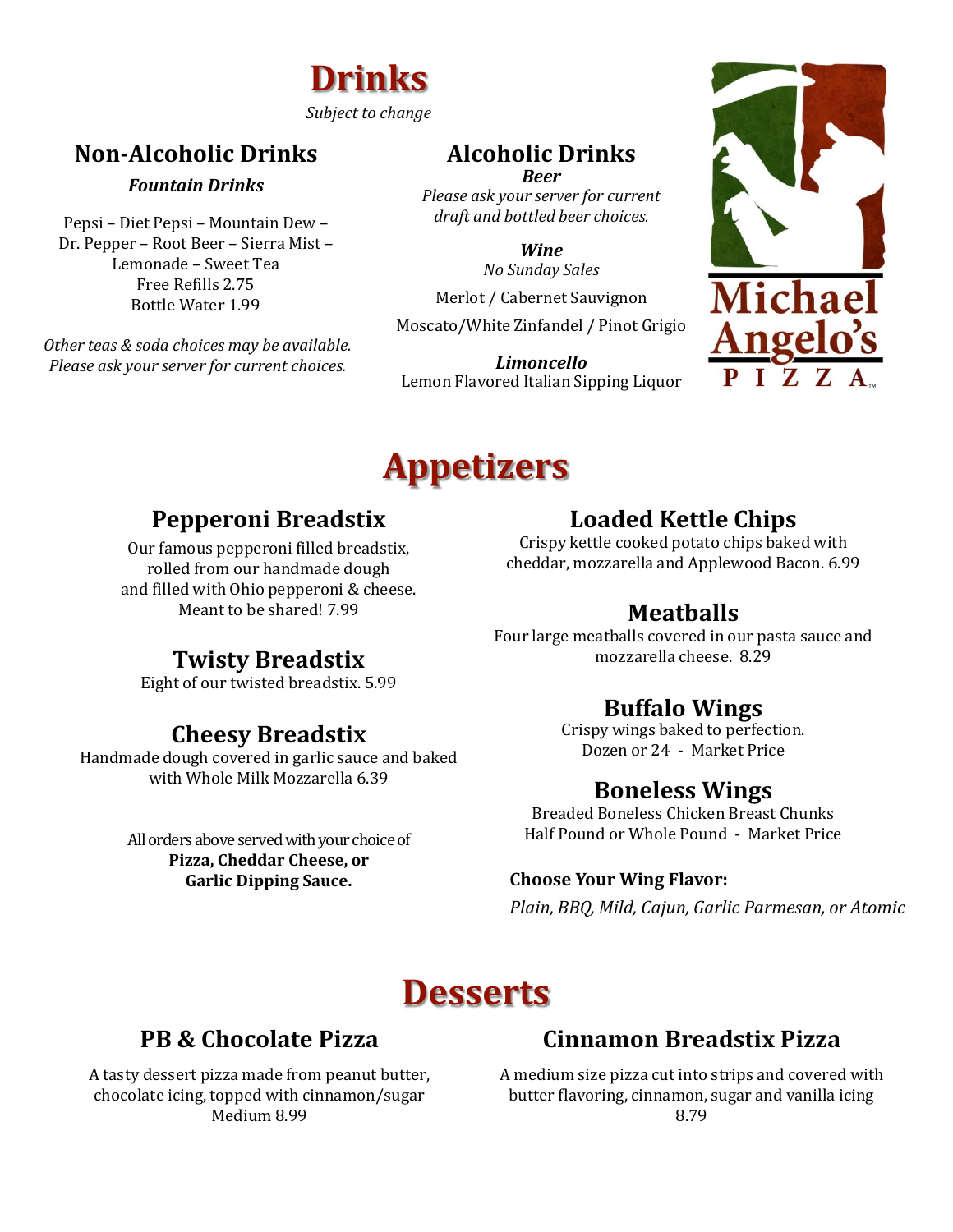

#### *Subject to change*

## **Non-Alcoholic Drinks Alcoholic Drinks**

#### *Fountain Drinks*

Pepsi – Diet Pepsi – Mountain Dew – Dr. Pepper – Root Beer – Sierra Mist – Lemonade – Sweet Tea Free Refills 2.75 Bottle Water 1.99

*Other teas & soda choices may be available. Please ask your server for current choices.*

*Please ask your server for current draft and bottled beer choices.*

> *No Sunday Sales Wine*

Merlot / Cabernet Sauvignon Moscato/White Zinfandel / Pinot Grigio

*Limoncello* Lemon Flavored Italian Sipping Liquor



# **Appetizers**

#### **Pepperoni Breadstix**

Our famous pepperoni filled breadstix, rolled from our handmade dough and filled with Ohio pepperoni & cheese. Meant to be shared! 7.99

#### **Twisty Breadstix**

Eight of our twisted breadstix. 5.99

#### **Cheesy Breadstix**

Handmade dough covered in garlic sauce and baked with Whole Milk Mozzarella 6.39

> All orders above served with your choice of **Pizza, Cheddar Cheese, or Garlic Dipping Sauce.**

#### **Loaded Kettle Chips**

Crispy kettle cooked potato chips baked with cheddar, mozzarella and Applewood Bacon. 6.99

#### **Meatballs**

Four large meatballs covered in our pasta sauce and mozzarella cheese. 8.29

#### **Buffalo Wings**

Crispy wings baked to perfection. Dozen or 24 - Market Price

#### **Boneless Wings**

Breaded Boneless Chicken Breast Chunks Half Pound or Whole Pound - Market Price

#### **Choose Your Wing Flavor:**

*Plain, BBQ, Mild, Cajun, Garlic Parmesan, or Atomic*

## **Desserts**

#### **PB & Chocolate Pizza**

A tasty dessert pizza made from peanut butter, chocolate icing, topped with cinnamon/sugar Medium 8.99

#### **Cinnamon Breadstix Pizza**

A medium size pizza cut into strips and covered with butter flavoring, cinnamon, sugar and vanilla icing 8.79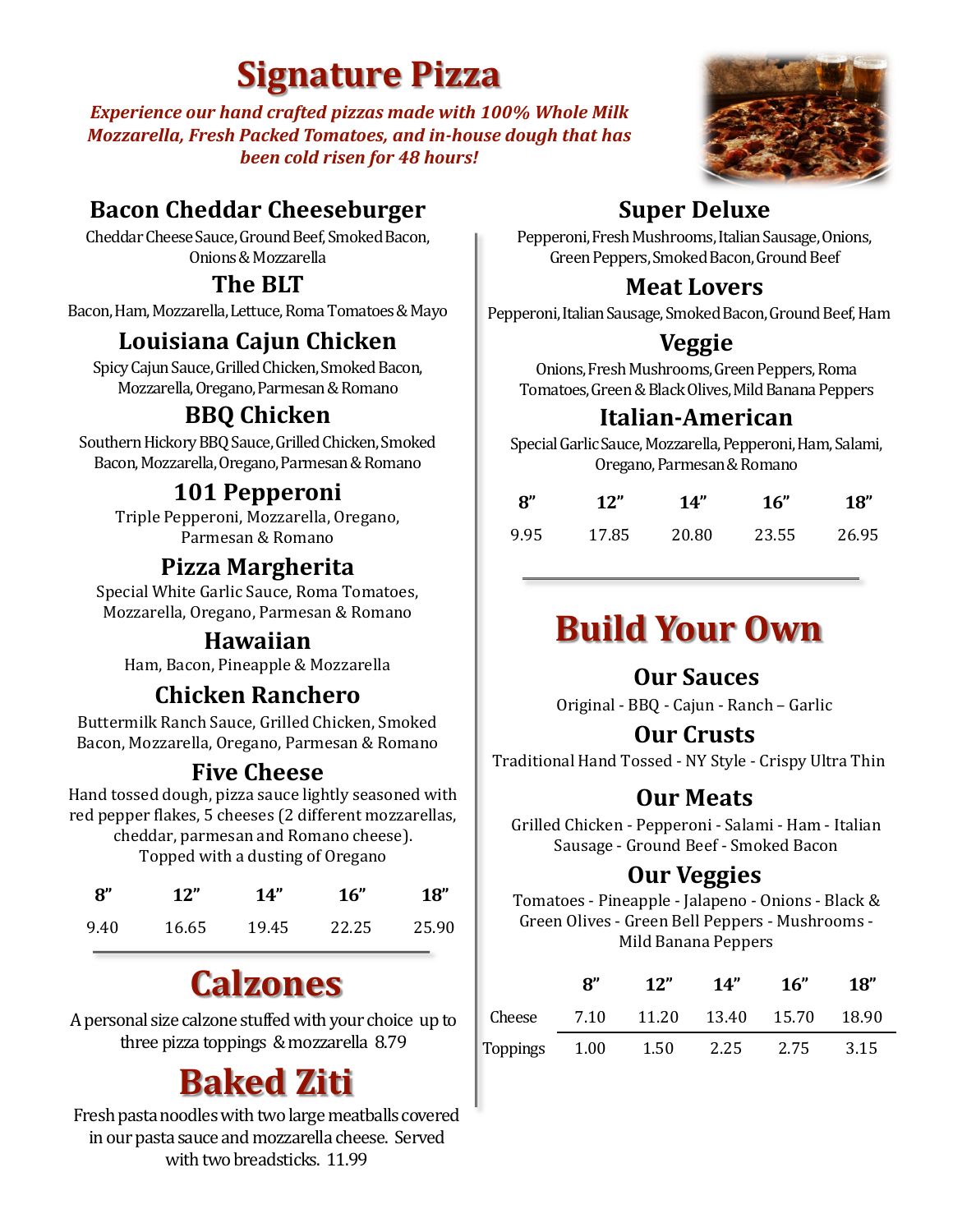# **Signature Pizza**

*Experience our hand crafted pizzas made with 100% Whole Milk Mozzarella, Fresh Packed Tomatoes, and in-house dough that has been cold risen for 48 hours!*

### **Bacon Cheddar Cheeseburger Super Deluxe**

Cheddar Cheese Sauce, Ground Beef, Smoked Bacon, Onions & Mozzarella

#### **The BLT**

Bacon, Ham, Mozzarella, Lettuce, Roma Tomatoes & Mayo

## **Louisiana Cajun Chicken**

Spicy Cajun Sauce, Grilled Chicken, Smoked Bacon, Mozzarella, Oregano, Parmesan & Romano

### **BBQ Chicken**

Southern Hickory BBQ Sauce, Grilled Chicken, Smoked Bacon, Mozzarella, Oregano, Parmesan & Romano

## **101 Pepperoni**

Triple Pepperoni, Mozzarella, Oregano, Parmesan & Romano

#### **Pizza Margherita**

Special White Garlic Sauce, Roma Tomatoes, Mozzarella, Oregano, Parmesan & Romano

#### **Hawaiian**

Ham, Bacon, Pineapple & Mozzarella

### **Chicken Ranchero**

Buttermilk Ranch Sauce, Grilled Chicken, Smoked Bacon, Mozzarella, Oregano, Parmesan & Romano

#### **Five Cheese**

Hand tossed dough, pizza sauce lightly seasoned with red pepper flakes, 5 cheeses (2 different mozzarellas, cheddar, parmesan and Romano cheese).

Topped with a dusting of Oregano

| $\mathbf{R}^{\prime\prime}$ | 12"   | 14"   | 16"   | 18"   |
|-----------------------------|-------|-------|-------|-------|
| 9.40                        | 16.65 | 19.45 | 22.25 | 25.90 |

# **Calzones**

A personal size calzone stuffed with your choice up to three pizza toppings & mozzarella 8.79

# **Baked Ziti**

Fresh pasta noodles with two large meatballs covered in our pasta sauce and mozzarella cheese. Served with two breadsticks. 11.99



Pepperoni, Fresh Mushrooms, Italian Sausage, Onions, Green Peppers, Smoked Bacon, Ground Beef

#### **Meat Lovers**

Pepperoni, Italian Sausage, Smoked Bacon, Ground Beef, Ham

#### **Veggie**

Onions, Fresh Mushrooms, Green Peppers, Roma Tomatoes, Green & Black Olives, Mild Banana Peppers

#### **Italian-American**

Special Garlic Sauce, Mozzarella, Pepperoni, Ham, Salami, Oregano, Parmesan & Romano

| $\mathbf{8}^{\prime\prime}$ | 12"   | 14"   | 16"   | <b>18"</b> |
|-----------------------------|-------|-------|-------|------------|
| 9.95                        | 17.85 | 20.80 | 23.55 | 26.95      |

# **Build Your Own**

#### **Our Sauces**

Original - BBQ - Cajun - Ranch – Garlic

#### **Our Crusts**

Traditional Hand Tossed - NY Style - Crispy Ultra Thin

#### **Our Meats**

Grilled Chicken - Pepperoni - Salami - Ham - Italian Sausage - Ground Beef - Smoked Bacon

#### **Our Veggies**

Tomatoes - Pineapple - Jalapeno - Onions - Black & Green Olives - Green Bell Peppers - Mushrooms - Mild Banana Peppers

|               | יא | 12"                    | 14"  | - 16" | 18"     |
|---------------|----|------------------------|------|-------|---------|
| Cheese        |    | 7.10 11.20 13.40 15.70 |      |       | - 18.90 |
| Toppings 1.00 |    | 1.50                   | 2.25 | 2.75  | 3.15    |